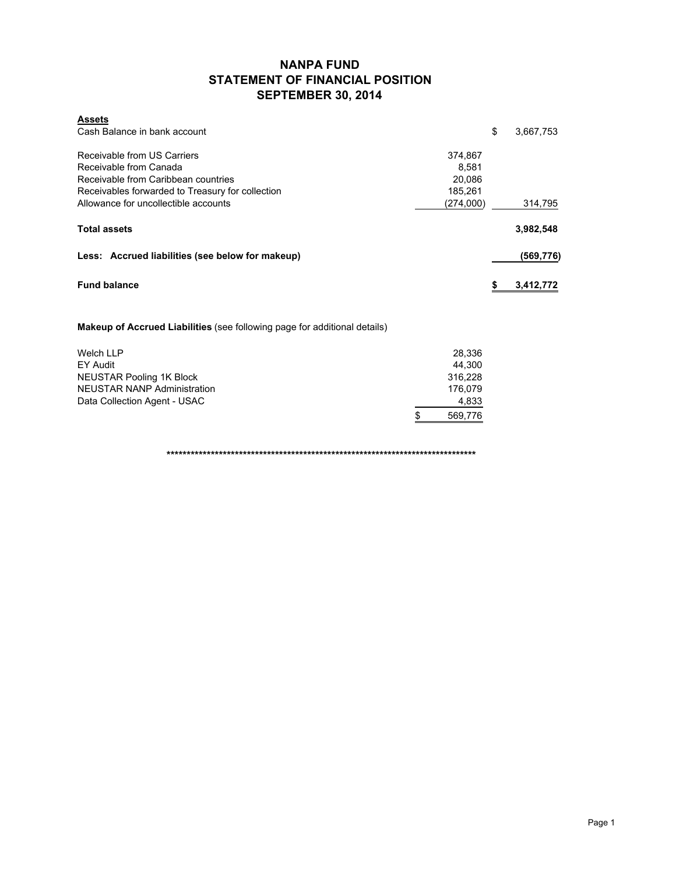## **NANPA FUND STATEMENT OF FINANCIAL POSITION SEPTEMBER 30, 2014**

| <b>Assets</b>                                    |           |                 |
|--------------------------------------------------|-----------|-----------------|
| Cash Balance in bank account                     |           | \$<br>3,667,753 |
| Receivable from US Carriers                      | 374,867   |                 |
| Receivable from Canada                           | 8.581     |                 |
| Receivable from Caribbean countries              | 20.086    |                 |
| Receivables forwarded to Treasury for collection | 185,261   |                 |
| Allowance for uncollectible accounts             | (274,000) | 314,795         |
| <b>Total assets</b>                              |           | 3,982,548       |
| Less: Accrued liabilities (see below for makeup) |           | (569,776)       |
| <b>Fund balance</b>                              |           | \$<br>3,412,772 |

**Makeup of Accrued Liabilities** (see following page for additional details)

| Welch LLP                    | 28.336       |
|------------------------------|--------------|
| EY Audit                     | 44.300       |
| NEUSTAR Pooling 1K Block     | 316.228      |
| NEUSTAR NANP Administration  | 176.079      |
| Data Collection Agent - USAC | 4,833        |
|                              | S<br>569.776 |

**\*\*\*\*\*\*\*\*\*\*\*\*\*\*\*\*\*\*\*\*\*\*\*\*\*\*\*\*\*\*\*\*\*\*\*\*\*\*\*\*\*\*\*\*\*\*\*\*\*\*\*\*\*\*\*\*\*\*\*\*\*\*\*\*\*\*\*\*\*\*\*\*\*\*\*\*\***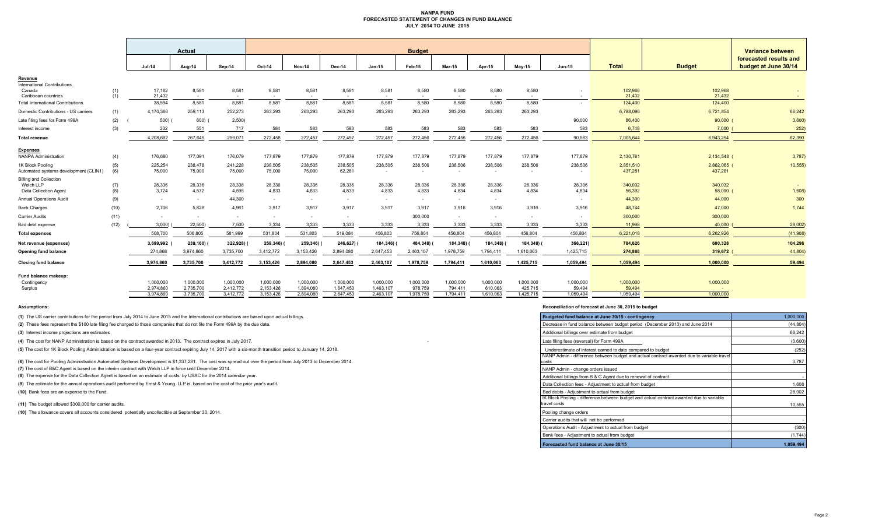#### **NANPA FUND FORECASTED STATEMENT OF CHANGES IN FUND BALANCE JULY 2014 TO JUNE 2015**

|                                                                     |            | Actual                 |                        | <b>Budget</b>            |                           |                        |                        |                        |                      |                          |                      |                      | Variance between<br>forecasted results and |                      |                        |                      |
|---------------------------------------------------------------------|------------|------------------------|------------------------|--------------------------|---------------------------|------------------------|------------------------|------------------------|----------------------|--------------------------|----------------------|----------------------|--------------------------------------------|----------------------|------------------------|----------------------|
|                                                                     |            | <b>Jul-14</b>          | Aug-14                 | Sep-14                   | Oct-14                    | <b>Nov-14</b>          | Dec-14                 | $Jan-15$               | Feb-15               | <b>Mar-15</b>            | Apr-15               | Mav-15               | <b>Jun-15</b>                              | <b>Total</b>         | <b>Budget</b>          | budget at June 30/14 |
| Revenue                                                             |            |                        |                        |                          |                           |                        |                        |                        |                      |                          |                      |                      |                                            |                      |                        |                      |
| <b>International Contributions</b><br>Canada<br>Caribbean countries | (1)<br>(1) | 17.162<br>21.432       | 8,581<br>$\sim$        | 8,581<br>$\sim$          | 8,581<br>$\sim$ 100 $\mu$ | 8,581<br>$\sim$        | 8,581<br>$\sim 100$    | 8,581<br>$\sim$        | 8,580<br>$\sim$ $-$  | 8,580<br><b>Contract</b> | 8,580<br>$\sim$ $-$  | 8,580<br>$\sim$      | $\sim$                                     | 102,968<br>21.432    | 102,968<br>21.432      | $\sim$ $ \sim$       |
| <b>Total International Contributions</b>                            |            | 38,594                 | 8,581                  | 8,581                    | 8,581                     | 8,581                  | 8,581                  | 8,581                  | 8,580                | 8,580                    | 8,580                | 8,580                | $\sim$                                     | 124,400              | 124,400                |                      |
| Domestic Contributions - US carriers                                | (1)        | 4,170,366              | 259,113                | 252,273                  | 263,293                   | 263,293                | 263,293                | 263,293                | 263,293              | 263,293                  | 263,293              | 263,293              |                                            | 6,788,096            | 6,721,854              | 66,242               |
| Late filing fees for Form 499A                                      | (2)        | 500)                   | 600)                   | 2,500                    |                           |                        |                        |                        |                      |                          |                      |                      | 90,000                                     | 86,400               | 90,000                 | 3,600                |
| Interest income                                                     | (3)        | 232                    | 551                    | 717                      | 584                       | 583                    | 583                    | 583                    | 583                  | 583                      | 583                  | 583                  | 583                                        | 6.748                | 7.000                  | 252                  |
| <b>Total revenue</b>                                                |            | 4.208.692              | 267.645                | 259.071                  | 272.458                   | 272.457                | 272.457                | 272.457                | 272.456              | 272,456                  | 272.456              | 272.456              | 90,583                                     | 7.005.644            | 6,943,254              | 62,390               |
| <b>Expenses</b><br><b>NANPA Administration</b>                      | (4)        | 176,680                | 177,091                | 176,079                  | 177,879                   | 177,879                | 177,879                | 177,879                | 177,879              | 177,879                  | 177,879              | 177,879              | 177,879                                    | 2,130,761            | 2,134,548 (            | 3,787                |
| 1K Block Pooling<br>Automated systems development (CLIN1)           | (5)<br>(6) | 225,254<br>75,000      | 238,478<br>75,000      | 241,228<br>75,000        | 238,505<br>75,000         | 238,505<br>75,000      | 238,505<br>62,281      | 238,505<br>$\sim$      | 238,506<br>$\sim$    | 238,506<br>$\sim$        | 238,506<br>$\sim$    | 238,506<br>$\sim$    | 238,506<br>$\sim$                          | 2,851,510<br>437,281 | 2,862,065 (<br>437,281 | 10,555               |
| <b>Billing and Collection</b><br>Welch LLP<br>Data Collection Agent | (7)<br>(8) | 28,336<br>3,724        | 28,336<br>4,572        | 28,336<br>4,595          | 28,336<br>4,833           | 28,336<br>4,833        | 28,336<br>4,833        | 28,336<br>4,833        | 28,336<br>4,833      | 28,336<br>4,834          | 28,336<br>4,834      | 28,336<br>4,834      | 28,336<br>4,834                            | 340,032<br>56,392    | 340,032<br>58,000 (    | 1,608)               |
| <b>Annual Operations Audit</b>                                      | (9)        | $\sim$                 | $\sim$                 | 44,300                   | $\sim$                    | $\sim$                 | $\sim$                 | $\sim$                 | $\sim$               | $\sim$                   | $\sim$               |                      | $\sim$                                     | 44,300               | 44,000                 | 300                  |
| <b>Bank Charges</b>                                                 | (10)       | 2.706                  | 5.828                  | 4.961                    | 3.917                     | 3.917                  | 3.917                  | 3.917                  | 3.917                | 3.916                    | 3.916                | 3.916                | 3.916                                      | 48,744               | 47,000                 | 1,744                |
| <b>Carrier Audits</b>                                               | (11)       | $\sim$                 | $\sim$                 | $\overline{\phantom{a}}$ | $\sim$                    |                        | $\sim$                 |                        | 300,000              | $\sim$                   | $\sim$               |                      | $\sim$                                     | 300,000              | 300,000                |                      |
| Bad debt expense                                                    | (12)       | 3.000                  | 22,500)                | 7,500                    | 3,334                     | 3,333                  | 3,333                  | 3,333                  | 3,333                | 3,333                    | 3,333                | 3,333                | 3,333                                      | 11.998               | 40,000                 | 28,002               |
| <b>Total expenses</b>                                               |            | 508,700                | 506,805                | 581,999                  | 531,804                   | 531,803                | 519.084                | 456,803                | 756,804              | 456.804                  | 456.804              | 456,804              | 456.804                                    | 6,221,018            | 6,262,926              | (41,908)             |
| Net revenue (expenses)                                              |            | 3,699,992              | 239,160)               | 322,928)                 | 259,346)                  | 259,346) (             | 246,627)               | 184,346) (             | 484,348)             | 184,348)                 | 184,348)             | 184,348)             | 366,221)                                   | 784,626              | 680,328                | 104,298              |
| <b>Opening fund balance</b>                                         |            | 274.868                | 3,974,860              | 3,735,700                | 3,412,772                 | 3,153,426              | 2,894,080              | 2,647,453              | 2,463,107            | 1,978,759                | 1,794,411            | 1,610,063            | 1,425,715                                  | 274,868              | 319,672                | 44,804               |
| <b>Closing fund balance</b>                                         |            | 3.974.860              | 3,735,700              | 3.412.772                | 3,153,426                 | 2.894.080              | 2,647,453              | 2,463,107              | 1.978.759            | 1.794.411                | 1.610.063            | 1,425,715            | 1.059.494                                  | 1,059,494            | 1,000,000              | 59,494               |
| Fund balance makeup:<br>Contingency                                 |            | 1,000,000              | 1,000,000              | 1,000,000                | 1,000,000                 | 1,000,000              | 1,000,000              | 1,000,000              | 1,000,000            | 1,000,000                | 1,000,000            | 1,000,000            | 1,000,000                                  | 1,000,000            | 1,000,000              |                      |
| Surplus                                                             |            | 2,974,860<br>3.974.860 | 2,735,700<br>3,735,700 | 2,412,772<br>3,412,772   | 2,153,426<br>3,153,426    | 1,894,080<br>2.894.080 | 1,647,453<br>2.647.453 | 1,463,107<br>2,463,107 | 978,759<br>1,978,759 | 794,411<br>1,794,411     | 610,063<br>1.610.063 | 425,715<br>1.425.715 | 59,494<br>1.059.494                        | 59,494<br>1.059.494  | 1.000.000              |                      |

**(1)** The US carrier contributions for the period from July 2014 to June 2015 and the International contributions are based upon actual billings.

(2) These fees represent the \$100 late filing fee charged to those companies that do not file the Form 499A by the due date.

**(3)** Interest income projections are estimates

**(4)** The cost for NANP Administration is based on the contract awarded in 2013. The contract expires in July 2017.

(5) The cost for 1K Block Pooling Administration is based on a four-year contract expiring July 14, 2017 with a six-month transition period to January 14, 2018.

**(6)** The cost for Pooling Administration Automated Systems Development is \$1,337,281. The cost was spread out over the period from July 2013 to December 2014.

**(7)** The cost of B&C Agent is based on the interim contract with Welch LLP in force until December 2014.

(8) The expense for the Data Collection Agent is based on an estimate of costs by USAC for the 2014 calendar year.

(9) The estimate for the annual operations audit performed by Ernst & Young LLP is based on the cost of the prior year's audit.

**(10)** Bank fees are an expense to the Fund.

**(11)** The budget allowed \$300,000 for carrier audits.

(10) The allowance covers all accounts considered potentially uncollectible at September 30, 2014.

#### **Assumptions: Reconciliation of forecast at June 30, 2015 to budget**

| Budgeted fund balance at June 30/15 - contingency                                                        | 1,000,000 |
|----------------------------------------------------------------------------------------------------------|-----------|
| Decrease in fund balance between budget period (December 2013) and June 2014                             | (44, 804) |
| Additional billings over estimate from budget                                                            | 66,242    |
| Late filing fees (reversal) for Form 499A                                                                | (3,600)   |
| Underestimate of interest earned to date compared to budget                                              | (252)     |
| NANP Admin - difference between budget and actual contract awarded due to variable travel<br>costs       | 3,787     |
| NANP Admin - change orders issued                                                                        |           |
| Additional billings from B & C Agent due to renewal of contract                                          |           |
| Data Collection fees - Adjustment to actual from budget                                                  | 1,608     |
| Bad debts - Adjustment to actual from budget                                                             | 28,002    |
| IK Block Pooling - difference between budget and actual contract awarded due to variable<br>travel costs | 10,555    |
| Pooling change orders                                                                                    |           |
| Carrier audits that will not be performed                                                                |           |
| Operations Audit - Adjustment to actual from budget                                                      | (300)     |
| Bank fees - Adjustment to actual from budget                                                             | (1, 744)  |
| Forecasted fund balance at June 30/15                                                                    | 1.059.494 |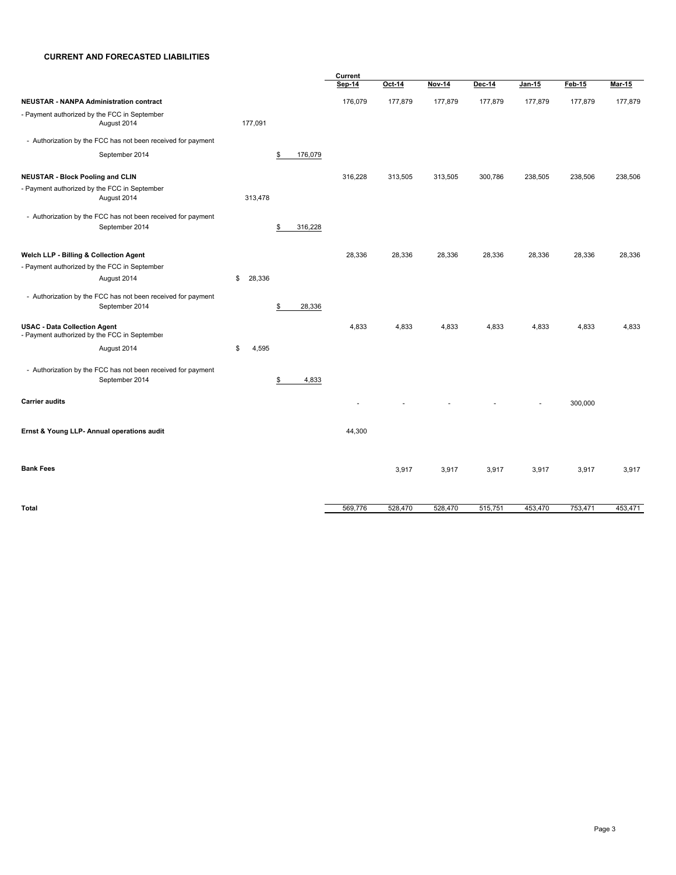#### **CURRENT AND FORECASTED LIABILITIES**

|                                                                                     |              |               | Current |         |         |         |         |         |               |
|-------------------------------------------------------------------------------------|--------------|---------------|---------|---------|---------|---------|---------|---------|---------------|
|                                                                                     |              |               | Sep-14  | Oct-14  | Nov-14  | Dec-14  | Jan-15  | Feb-15  | <b>Mar-15</b> |
| <b>NEUSTAR - NANPA Administration contract</b>                                      |              |               | 176,079 | 177,879 | 177,879 | 177,879 | 177,879 | 177,879 | 177,879       |
| - Payment authorized by the FCC in September<br>August 2014                         | 177,091      |               |         |         |         |         |         |         |               |
| - Authorization by the FCC has not been received for payment                        |              |               |         |         |         |         |         |         |               |
| September 2014                                                                      |              | 176,079<br>\$ |         |         |         |         |         |         |               |
| <b>NEUSTAR - Block Pooling and CLIN</b>                                             |              |               | 316,228 | 313,505 | 313,505 | 300,786 | 238,505 | 238,506 | 238,506       |
| - Payment authorized by the FCC in September<br>August 2014                         | 313,478      |               |         |         |         |         |         |         |               |
| - Authorization by the FCC has not been received for payment<br>September 2014      |              | 316,228<br>\$ |         |         |         |         |         |         |               |
| Welch LLP - Billing & Collection Agent                                              |              |               | 28,336  | 28,336  | 28,336  | 28,336  | 28,336  | 28,336  | 28,336        |
| - Payment authorized by the FCC in September                                        |              |               |         |         |         |         |         |         |               |
| August 2014                                                                         | 28,336<br>\$ |               |         |         |         |         |         |         |               |
| - Authorization by the FCC has not been received for payment<br>September 2014      |              | 28,336<br>\$  |         |         |         |         |         |         |               |
| <b>USAC - Data Collection Agent</b><br>- Payment authorized by the FCC in September |              |               | 4,833   | 4,833   | 4,833   | 4,833   | 4,833   | 4,833   | 4,833         |
| August 2014                                                                         | \$<br>4,595  |               |         |         |         |         |         |         |               |
| - Authorization by the FCC has not been received for payment<br>September 2014      |              | 4,833<br>S    |         |         |         |         |         |         |               |
| <b>Carrier audits</b>                                                               |              |               |         |         |         |         |         | 300,000 |               |
| Ernst & Young LLP- Annual operations audit                                          |              |               | 44,300  |         |         |         |         |         |               |
| <b>Bank Fees</b>                                                                    |              |               |         | 3,917   | 3,917   | 3,917   | 3,917   | 3,917   | 3,917         |
| <b>Total</b>                                                                        |              |               | 569,776 | 528,470 | 528,470 | 515,751 | 453,470 | 753,471 | 453,471       |